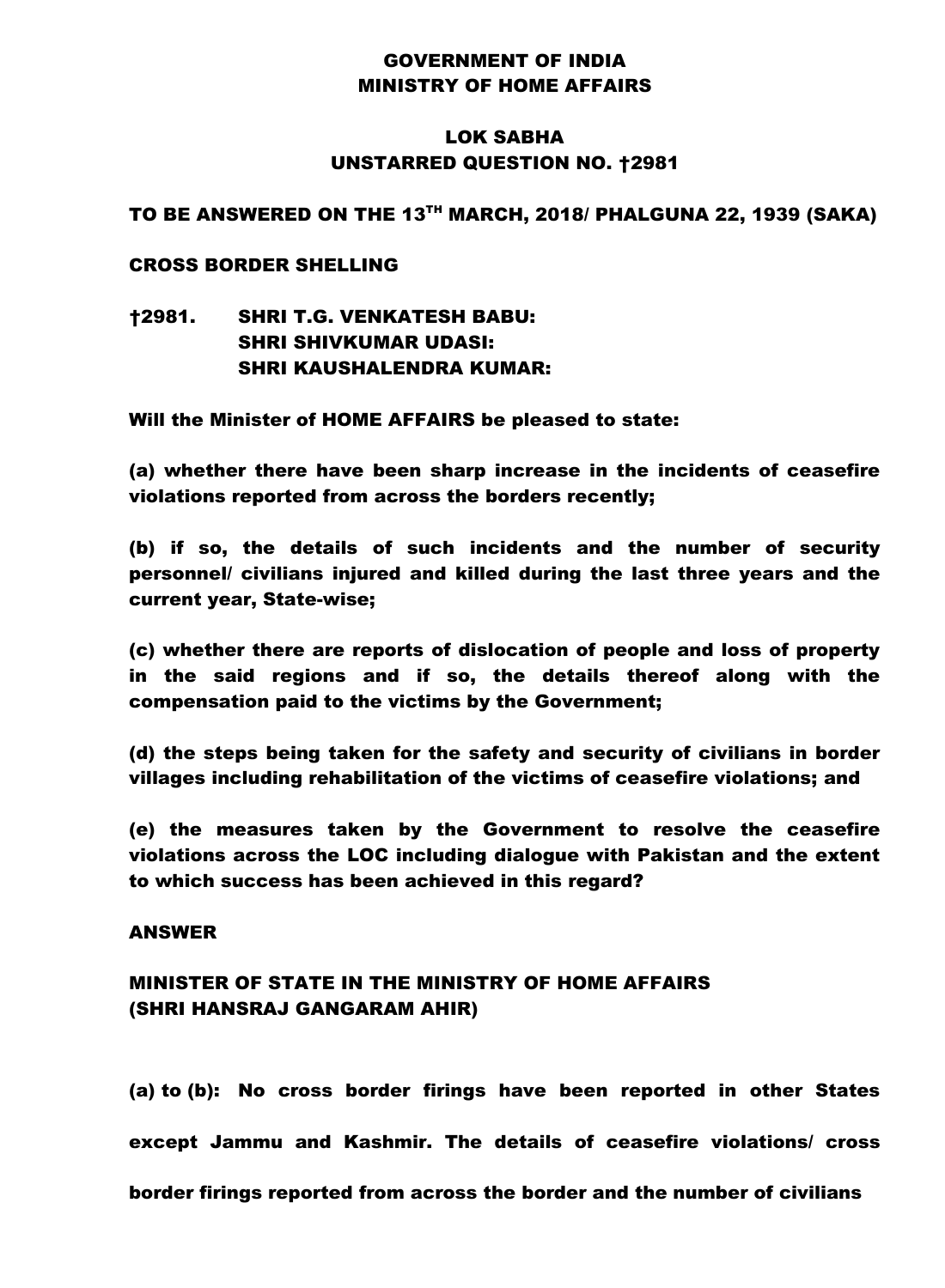## GOVERNMENT OF INDIA MINISTRY OF HOME AFFAIRS

## LOK SABHA UNSTARRED QUESTION NO. †2981

### TO BE ANSWERED ON THE 13TH MARCH, 2018/ PHALGUNA 22, 1939 (SAKA)

### CROSS BORDER SHELLING

†2981. SHRI T.G. VENKATESH BABU: SHRI SHIVKUMAR UDASI: SHRI KAUSHALENDRA KUMAR:

Will the Minister of HOME AFFAIRS be pleased to state:

(a) whether there have been sharp increase in the incidents of ceasefire violations reported from across the borders recently;

(b) if so, the details of such incidents and the number of security personnel/ civilians injured and killed during the last three years and the current year, State-wise;

(c) whether there are reports of dislocation of people and loss of property in the said regions and if so, the details thereof along with the compensation paid to the victims by the Government;

(d) the steps being taken for the safety and security of civilians in border villages including rehabilitation of the victims of ceasefire violations; and

(e) the measures taken by the Government to resolve the ceasefire violations across the LOC including dialogue with Pakistan and the extent to which success has been achieved in this regard?

#### ANSWER

# MINISTER OF STATE IN THE MINISTRY OF HOME AFFAIRS (SHRI HANSRAJ GANGARAM AHIR)

(a) to (b): No cross border firings have been reported in other States except Jammu and Kashmir. The details of ceasefire violations/ cross border firings reported from across the border and the number of civilians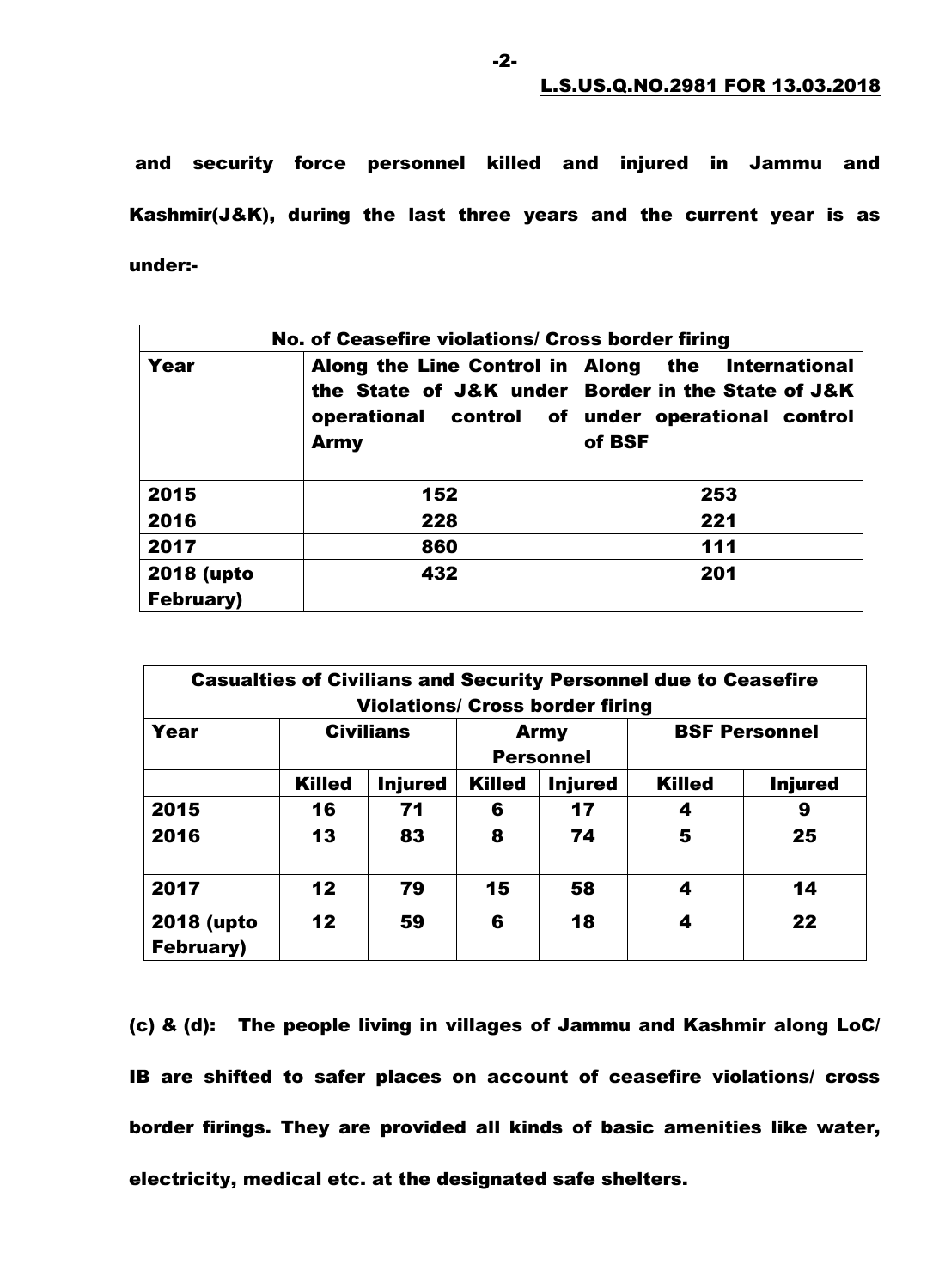and security force personnel killed and injured in Jammu and Kashmir(J&K), during the last three years and the current year is as under:-

| No. of Ceasefire violations/ Cross border firing |                                       |                                                                                                                                               |  |  |  |  |
|--------------------------------------------------|---------------------------------------|-----------------------------------------------------------------------------------------------------------------------------------------------|--|--|--|--|
| Year                                             | operational control of<br><b>Army</b> | Along the Line Control in Along the International<br>the State of J&K under Border in the State of J&K<br>under operational control<br>of BSF |  |  |  |  |
| 2015                                             | 152                                   | 253                                                                                                                                           |  |  |  |  |
| 2016                                             | 228                                   | 221                                                                                                                                           |  |  |  |  |
| 2017                                             | 860                                   | 111                                                                                                                                           |  |  |  |  |
| 2018 (upto<br><b>February)</b>                   | 432                                   | 201                                                                                                                                           |  |  |  |  |

| <b>Casualties of Civilians and Security Personnel due to Ceasefire</b><br><b>Violations/ Cross border firing</b> |                  |                |                                 |                |                      |                |  |
|------------------------------------------------------------------------------------------------------------------|------------------|----------------|---------------------------------|----------------|----------------------|----------------|--|
| Year                                                                                                             | <b>Civilians</b> |                | <b>Army</b><br><b>Personnel</b> |                | <b>BSF Personnel</b> |                |  |
|                                                                                                                  | <b>Killed</b>    | <b>Injured</b> | <b>Killed</b>                   | <b>Injured</b> | <b>Killed</b>        | <b>Injured</b> |  |
| 2015                                                                                                             | 16               | 71             | 6                               | 17             | 4                    | 9              |  |
| 2016                                                                                                             | 13               | 83             | 8                               | 74             | 5                    | 25             |  |
| 2017                                                                                                             | 12               | 79             | 15                              | 58             | 4                    | 14             |  |
| 2018 (upto<br><b>February)</b>                                                                                   | 12               | 59             | 6                               | 18             | 4                    | 22             |  |

(c) & (d): The people living in villages of Jammu and Kashmir along LoC/ IB are shifted to safer places on account of ceasefire violations/ cross border firings. They are provided all kinds of basic amenities like water, electricity, medical etc. at the designated safe shelters.

-2-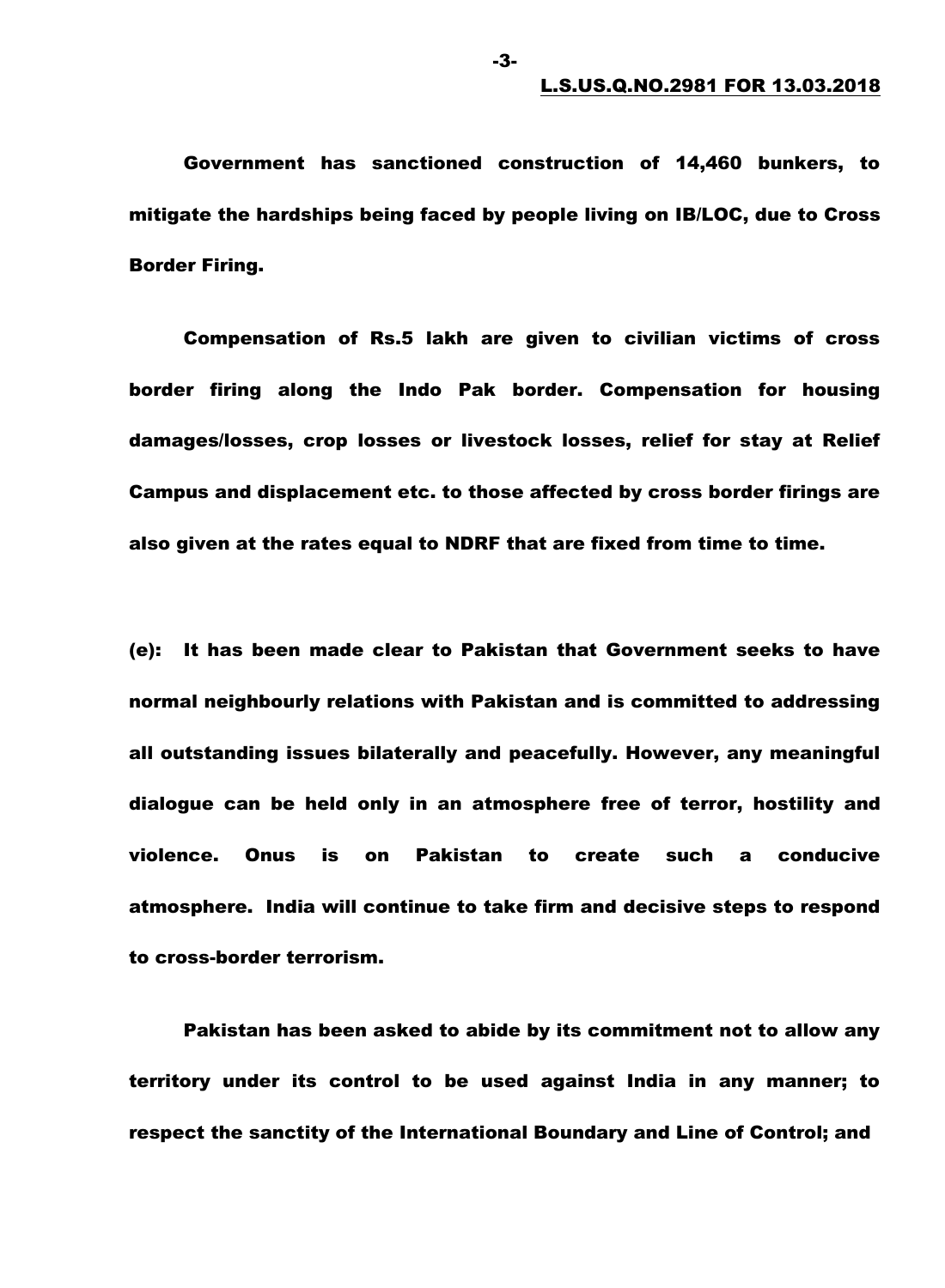Government has sanctioned construction of 14,460 bunkers, to mitigate the hardships being faced by people living on IB/LOC, due to Cross Border Firing.

-3-

Compensation of Rs.5 lakh are given to civilian victims of cross border firing along the Indo Pak border. Compensation for housing damages/losses, crop losses or livestock losses, relief for stay at Relief Campus and displacement etc. to those affected by cross border firings are also given at the rates equal to NDRF that are fixed from time to time.

(e): It has been made clear to Pakistan that Government seeks to have normal neighbourly relations with Pakistan and is committed to addressing all outstanding issues bilaterally and peacefully. However, any meaningful dialogue can be held only in an atmosphere free of terror, hostility and violence. Onus is on Pakistan to create such a conducive atmosphere. India will continue to take firm and decisive steps to respond to cross-border terrorism.

Pakistan has been asked to abide by its commitment not to allow any territory under its control to be used against India in any manner; to respect the sanctity of the International Boundary and Line of Control; and